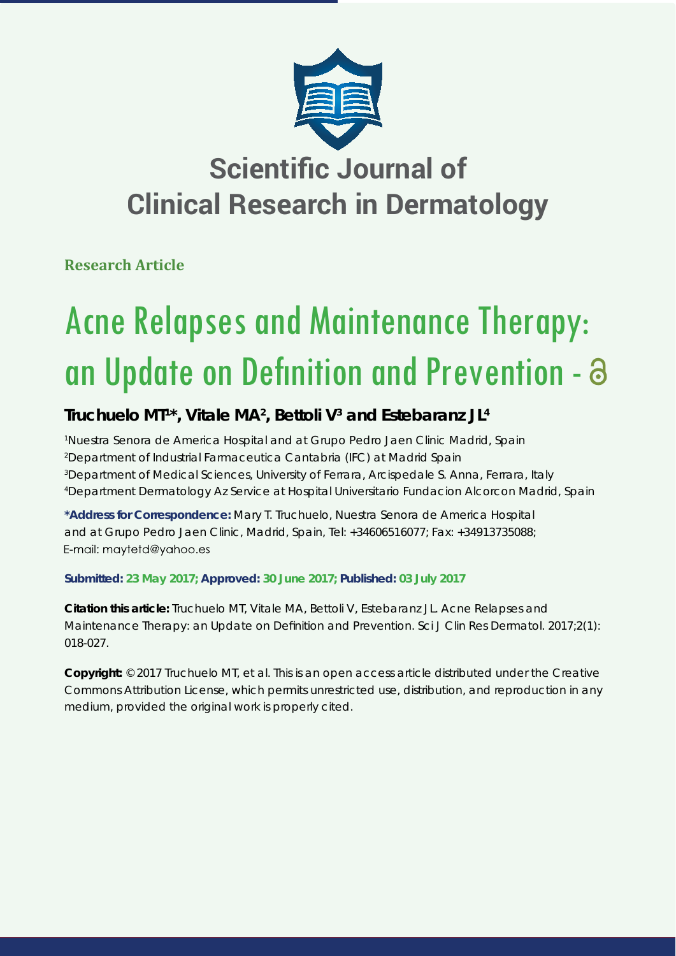

## **Scientific Journal of Clinical Research in Dermatology**

**Research Article**

# Acne Relapses and Maintenance Therapy: an Update on Definition and Prevention - a

## **Truchuelo MT1 \*, Vitale MA2 , Bettoli V3 and Estebaranz JL4**

 *Nuestra Senora de America Hospital and at Grupo Pedro Jaen Clinic Madrid, Spain Department of Industrial Farmaceutica Cantabria (IFC) at Madrid Spain Department of Medical Sciences, University of Ferrara, Arcispedale S. Anna, Ferrara, Italy Department Dermatology Az Service at Hospital Universitario Fundacion Alcorcon Madrid, Spain*

**\*Address for Correspondence:** Mary T. Truchuelo, Nuestra Senora de America Hospital and at Grupo Pedro Jaen Clinic, Madrid, Spain, Tel: +34606516077; Fax: +34913735088; E-mail: maytetd@yahoo.es

## **Submitted: 23 May 2017; Approved: 30 June 2017; Published: 03 July 2017**

**Citation this article:** Truchuelo MT, Vitale MA, Bettoli V, Estebaranz JL. Acne Relapses and Maintenance Therapy: an Update on Definition and Prevention. Sci J Clin Res Dermatol. 2017;2(1): 018-027.

**Copyright:** © 2017 Truchuelo MT, et al. This is an open access article distributed under the Creative Commons Attribution License, which permits unrestricted use, distribution, and reproduction in any medium, provided the original work is properly cited.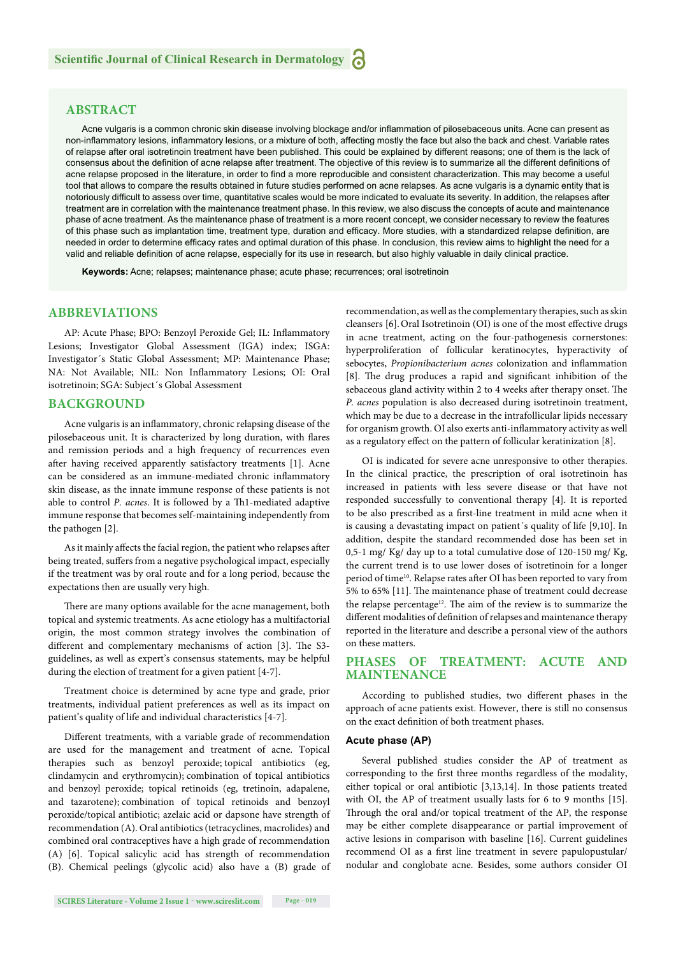#### **ABSTRACT**

Acne vulgaris is a common chronic skin disease involving blockage and/or inflammation of pilosebaceous units. Acne can present as non-inflammatory lesions, inflammatory lesions, or a mixture of both, affecting mostly the face but also the back and chest. Variable rates of relapse after oral isotretinoin treatment have been published. This could be explained by different reasons; one of them is the lack of consensus about the definition of acne relapse after treatment. The objective of this review is to summarize all the different definitions of acne relapse proposed in the literature, in order to find a more reproducible and consistent characterization. This may become a useful tool that allows to compare the results obtained in future studies performed on acne relapses. As acne vulgaris is a dynamic entity that is notoriously difficult to assess over time, quantitative scales would be more indicated to evaluate its severity. In addition, the relapses after treatment are in correlation with the maintenance treatment phase. In this review, we also discuss the concepts of acute and maintenance phase of acne treatment. As the maintenance phase of treatment is a more recent concept, we consider necessary to review the features of this phase such as implantation time, treatment type, duration and efficacy. More studies, with a standardized relapse definition, are needed in order to determine efficacy rates and optimal duration of this phase. In conclusion, this review aims to highlight the need for a valid and reliable definition of acne relapse, especially for its use in research, but also highly valuable in daily clinical practice.

**Keywords:** Acne; relapses; maintenance phase; acute phase; recurrences; oral isotretinoin

#### **ABBREVIATIONS**

AP: Acute Phase; BPO: Benzoyl Peroxide Gel; IL: Inflammatory Lesions; Investigator Global Assessment (IGA) index; ISGA: Investigator´s Static Global Assessment; MP: Maintenance Phase; NA: Not Available; NIL: Non Inflammatory Lesions; OI: Oral isotretinoin; SGA: Subject´s Global Assessment

#### **BACKGROUND**

Acne vulgaris is an inflammatory, chronic relapsing disease of the pilosebaceous unit. It is characterized by long duration, with flares and remission periods and a high frequency of recurrences even after having received apparently satisfactory treatments [1]. Acne can be considered as an immune-mediated chronic inflammatory skin disease, as the innate immune response of these patients is not able to control *P. acnes*. It is followed by a Th1-mediated adaptive immune response that becomes self-maintaining independently from the pathogen [2].

As it mainly affects the facial region, the patient who relapses after being treated, suffers from a negative psychological impact, especially if the treatment was by oral route and for a long period, because the expectations then are usually very high.

There are many options available for the acne management, both topical and systemic treatments. As acne etiology has a multifactorial origin, the most common strategy involves the combination of different and complementary mechanisms of action [3]. The S3guidelines, as well as expert's consensus statements, may be helpful during the election of treatment for a given patient [4-7].

Treatment choice is determined by acne type and grade, prior treatments, individual patient preferences as well as its impact on patient's quality of life and individual characteristics [4-7].

Different treatments, with a variable grade of recommendation are used for the management and treatment of acne. Topical therapies such as benzoyl peroxide; topical antibiotics (eg, clindamycin and erythromycin); combination of topical antibiotics and benzoyl peroxide; topical retinoids (eg, tretinoin, adapalene, and tazarotene); combination of topical retinoids and benzoyl peroxide/topical antibiotic; azelaic acid or dapsone have strength of recommendation (A). Oral antibiotics (tetracyclines, macrolides) and combined oral contraceptives have a high grade of recommendation (A) [6]. Topical salicylic acid has strength of recommendation (B). Chemical peelings (glycolic acid) also have a (B) grade of recommendation, as well as the complementary therapies, such as skin cleansers [6]. Oral Isotretinoin (OI) is one of the most effective drugs in acne treatment, acting on the four-pathogenesis cornerstones: hyperproliferation of follicular keratinocytes, hyperactivity of sebocytes, *Propionibacterium acnes* colonization and inflammation [8]. The drug produces a rapid and significant inhibition of the sebaceous gland activity within 2 to 4 weeks after therapy onset. The *P. acnes* population is also decreased during isotretinoin treatment, which may be due to a decrease in the intrafollicular lipids necessary for organism growth. OI also exerts anti-inflammatory activity as well as a regulatory effect on the pattern of follicular keratinization [8].

OI is indicated for severe acne unresponsive to other therapies. In the clinical practice, the prescription of oral isotretinoin has increased in patients with less severe disease or that have not responded successfully to conventional therapy [4]. It is reported to be also prescribed as a first-line treatment in mild acne when it is causing a devastating impact on patient´s quality of life [9,10]. In addition, despite the standard recommended dose has been set in 0,5-1 mg/ Kg/ day up to a total cumulative dose of 120-150 mg/ Kg, the current trend is to use lower doses of isotretinoin for a longer period of time<sup>10</sup>. Relapse rates after OI has been reported to vary from 5% to 65% [11]. The maintenance phase of treatment could decrease the relapse percentage<sup>12</sup>. The aim of the review is to summarize the different modalities of definition of relapses and maintenance therapy reported in the literature and describe a personal view of the authors on these matters.

#### **PHASES OF TREATMENT: ACUTE AND MAINTENANCE**

According to published studies, two different phases in the approach of acne patients exist. However, there is still no consensus on the exact definition of both treatment phases.

#### **Acute phase (AP)**

Several published studies consider the AP of treatment as corresponding to the first three months regardless of the modality, either topical or oral antibiotic [3,13,14]. In those patients treated with OI, the AP of treatment usually lasts for 6 to 9 months [15]. Through the oral and/or topical treatment of the AP, the response may be either complete disappearance or partial improvement of active lesions in comparison with baseline [16]. Current guidelines recommend OI as a first line treatment in severe papulopustular/ nodular and conglobate acne. Besides, some authors consider OI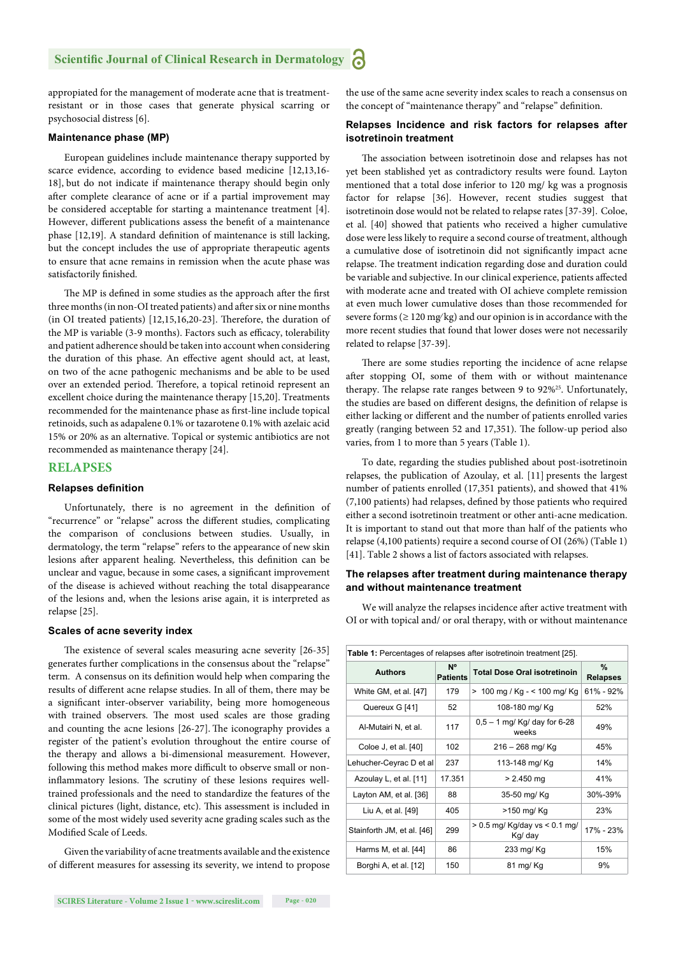appropiated for the management of moderate acne that is treatmentresistant or in those cases that generate physical scarring or psychosocial distress [6].

#### **Maintenance phase (MP)**

European guidelines include maintenance therapy supported by scarce evidence, according to evidence based medicine [12,13,16- 18], but do not indicate if maintenance therapy should begin only after complete clearance of acne or if a partial improvement may be considered acceptable for starting a maintenance treatment [4]. However, different publications assess the benefit of a maintenance phase [12,19]. A standard definition of maintenance is still lacking, but the concept includes the use of appropriate therapeutic agents to ensure that acne remains in remission when the acute phase was satisfactorily finished.

The MP is defined in some studies as the approach after the first three months (in non-OI treated patients) and after six or nine months (in OI treated patients)  $[12, 15, 16, 20-23]$ . Therefore, the duration of the MP is variable (3-9 months). Factors such as efficacy, tolerability and patient adherence should be taken into account when considering the duration of this phase. An effective agent should act, at least, on two of the acne pathogenic mechanisms and be able to be used over an extended period. Therefore, a topical retinoid represent an excellent choice during the maintenance therapy [15,20]. Treatments recommended for the maintenance phase as first-line include topical retinoids, such as adapalene 0.1% or tazarotene 0.1% with azelaic acid 15% or 20% as an alternative. Topical or systemic antibiotics are not recommended as maintenance therapy [24].

#### **RELAPSES**

#### **Relapses definition**

Unfortunately, there is no agreement in the definition of "recurrence" or "relapse" across the different studies, complicating the comparison of conclusions between studies. Usually, in dermatology, the term "relapse" refers to the appearance of new skin lesions after apparent healing. Nevertheless, this definition can be unclear and vague, because in some cases, a significant improvement of the disease is achieved without reaching the total disappearance of the lesions and, when the lesions arise again, it is interpreted as relapse [25].

#### **Scales of acne severity index**

The existence of several scales measuring acne severity [26-35] generates further complications in the consensus about the "relapse" term. A consensus on its definition would help when comparing the results of different acne relapse studies. In all of them, there may be a significant inter-observer variability, being more homogeneous with trained observers. The most used scales are those grading and counting the acne lesions  $[26-27]$ . The iconography provides a register of the patient's evolution throughout the entire course of the therapy and allows a bi-dimensional measurement. However, following this method makes more difficult to observe small or noninflammatory lesions. The scrutiny of these lesions requires welltrained professionals and the need to standardize the features of the clinical pictures (light, distance, etc). This assessment is included in some of the most widely used severity acne grading scales such as the Modified Scale of Leeds.

Given the variability of acne treatments available and the existence of different measures for assessing its severity, we intend to propose

the use of the same acne severity index scales to reach a consensus on the concept of "maintenance therapy" and "relapse" definition.

#### **Relapses Incidence and risk factors for relapses after isotretinoin treatment**

The association between isotretinoin dose and relapses has not yet been stablished yet as contradictory results were found. Layton mentioned that a total dose inferior to 120 mg/ kg was a prognosis factor for relapse [36]. However, recent studies suggest that isotretinoin dose would not be related to relapse rates [37-39]. Coloe, et al. [40] showed that patients who received a higher cumulative dose were less likely to require a second course of treatment, although a cumulative dose of isotretinoin did not significantly impact acne relapse. The treatment indication regarding dose and duration could be variable and subjective. In our clinical experience, patients affected with moderate acne and treated with OI achieve complete remission at even much lower cumulative doses than those recommended for severe forms ( $\geq 120$  mg/kg) and our opinion is in accordance with the more recent studies that found that lower doses were not necessarily related to relapse [37-39].

There are some studies reporting the incidence of acne relapse after stopping OI, some of them with or without maintenance therapy. The relapse rate ranges between 9 to 92%<sup>25</sup>. Unfortunately, the studies are based on different designs, the definition of relapse is either lacking or different and the number of patients enrolled varies greatly (ranging between 52 and 17,351). The follow-up period also varies, from 1 to more than 5 years (Table 1).

To date, regarding the studies published about post-isotretinoin relapses, the publication of Azoulay, et al. [11] presents the largest number of patients enrolled (17,351 patients), and showed that 41% (7,100 patients) had relapses, defined by those patients who required either a second isotretinoin treatment or other anti-acne medication. It is important to stand out that more than half of the patients who relapse (4,100 patients) require a second course of OI (26%) (Table 1) [41]. Table 2 shows a list of factors associated with relapses.

#### **The relapses after treatment during maintenance therapy and without maintenance treatment**

We will analyze the relapses incidence after active treatment with OI or with topical and/ or oral therapy, with or without maintenance

| <b>Table 1:</b> Percentages of relapses after isotretinoin treatment [25]. |                                   |                                              |                         |  |  |
|----------------------------------------------------------------------------|-----------------------------------|----------------------------------------------|-------------------------|--|--|
| <b>Authors</b>                                                             | N <sup>o</sup><br><b>Patients</b> | <b>Total Dose Oral isotretinoin</b>          | $\%$<br><b>Relapses</b> |  |  |
| White GM, et al. [47]                                                      | 179                               | > 100 mg / Kg - < 100 mg/ Kg                 | 61% - 92%               |  |  |
| Quereux G [41]                                                             | 52                                | 108-180 mg/ Kg                               | 52%                     |  |  |
| Al-Mutairi N, et al.                                                       | 117                               | $0,5 - 1$ mg/ Kg/ day for 6-28<br>weeks      | 49%                     |  |  |
| Coloe J, et al. [40]                                                       | 102                               | $216 - 268$ mg/ Kg                           | 45%                     |  |  |
| Lehucher-Ceyrac D et al                                                    | 237                               | 113-148 mg/ Kg                               | 14%                     |  |  |
| Azoulay L, et al. [11]                                                     | 17.351                            | $> 2.450$ mg                                 | 41%                     |  |  |
| Layton AM, et al. [36]                                                     | 88                                | 35-50 mg/ Kg                                 | 30%-39%                 |  |  |
| Liu A, et al. [49]                                                         | 405                               | >150 mg/ Kg                                  | 23%                     |  |  |
| Stainforth JM, et al. [46]                                                 | 299                               | $> 0.5$ mg/ Kg/day vs $< 0.1$ mg/<br>Kg/ day | 17% - 23%               |  |  |
| Harms M, et al. [44]                                                       | 86                                | 233 mg/ Kg                                   | 15%                     |  |  |
| Borghi A, et al. [12]                                                      | 150                               | 81 mg/Kg                                     | 9%                      |  |  |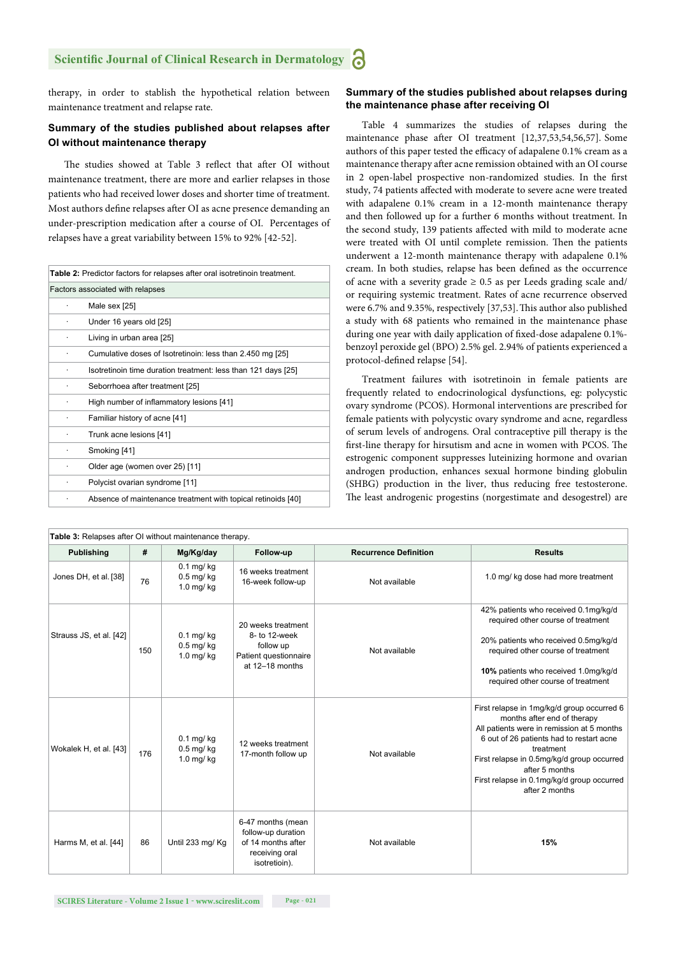therapy, in order to stablish the hypothetical relation between maintenance treatment and relapse rate.

#### **Summary of the studies published about relapses after OI without maintenance therapy**

The studies showed at Table 3 reflect that after OI without maintenance treatment, there are more and earlier relapses in those patients who had received lower doses and shorter time of treatment. Most authors define relapses after OI as acne presence demanding an under-prescription medication after a course of OI. Percentages of relapses have a great variability between 15% to 92% [42-52].

| Table 2: Predictor factors for relapses after oral isotretinoin treatment. |                                                               |  |  |  |  |
|----------------------------------------------------------------------------|---------------------------------------------------------------|--|--|--|--|
|                                                                            | Factors associated with relapses                              |  |  |  |  |
|                                                                            | Male sex [25]                                                 |  |  |  |  |
| ٠                                                                          | Under 16 years old [25]                                       |  |  |  |  |
|                                                                            | Living in urban area [25]                                     |  |  |  |  |
|                                                                            | Cumulative doses of Isotretinoin: less than 2.450 mg [25]     |  |  |  |  |
|                                                                            | Isotretinoin time duration treatment: less than 121 days [25] |  |  |  |  |
|                                                                            | Seborrhoea after treatment [25]                               |  |  |  |  |
|                                                                            | High number of inflammatory lesions [41]                      |  |  |  |  |
|                                                                            | Familiar history of acne [41]                                 |  |  |  |  |
|                                                                            | Trunk acne lesions [41]                                       |  |  |  |  |
|                                                                            | Smoking [41]                                                  |  |  |  |  |
|                                                                            | Older age (women over 25) [11]                                |  |  |  |  |
|                                                                            | Polycist ovarian syndrome [11]                                |  |  |  |  |
|                                                                            | Absence of maintenance treatment with topical retinoids [40]  |  |  |  |  |

#### **Summary of the studies published about relapses during the maintenance phase after receiving OI**

Table 4 summarizes the studies of relapses during the maintenance phase after OI treatment [12,37,53,54,56,57]. Some authors of this paper tested the efficacy of adapalene 0.1% cream as a maintenance therapy after acne remission obtained with an OI course in 2 open-label prospective non-randomized studies. In the first study, 74 patients affected with moderate to severe acne were treated with adapalene 0.1% cream in a 12-month maintenance therapy and then followed up for a further 6 months without treatment. In the second study, 139 patients affected with mild to moderate acne were treated with OI until complete remission. Then the patients underwent a 12-month maintenance therapy with adapalene 0.1% cream. In both studies, relapse has been defined as the occurrence of acne with a severity grade  $\geq 0.5$  as per Leeds grading scale and/ or requiring systemic treatment. Rates of acne recurrence observed were 6.7% and 9.35%, respectively [37,53]. This author also published a study with 68 patients who remained in the maintenance phase during one year with daily application of fixed-dose adapalene 0.1%benzoyl peroxide gel (BPO) 2.5% gel. 2.94% of patients experienced a protocol-defined relapse [54].

Treatment failures with isotretinoin in female patients are frequently related to endocrinological dysfunctions, eg: polycystic ovary syndrome (PCOS). Hormonal interventions are prescribed for female patients with polycystic ovary syndrome and acne, regardless of serum levels of androgens. Oral contraceptive pill therapy is the first-line therapy for hirsutism and acne in women with PCOS. The estrogenic component suppresses luteinizing hormone and ovarian androgen production, enhances sexual hormone binding globulin (SHBG) production in the liver, thus reducing free testosterone. The least androgenic progestins (norgestimate and desogestrel) are

| <b>rable 3.</b> Relapses after Or without maintenance therapy. |     |                                                    |                                                                                                  |                              |                                                                                                                                                                                                                                                                                                                  |  |
|----------------------------------------------------------------|-----|----------------------------------------------------|--------------------------------------------------------------------------------------------------|------------------------------|------------------------------------------------------------------------------------------------------------------------------------------------------------------------------------------------------------------------------------------------------------------------------------------------------------------|--|
| <b>Publishing</b>                                              | #   | Mg/Kg/day                                          | Follow-up                                                                                        | <b>Recurrence Definition</b> | <b>Results</b>                                                                                                                                                                                                                                                                                                   |  |
| Jones DH, et al. [38]                                          | 76  | $0.1$ mg/ $kg$<br>$0.5$ mg/ $kg$<br>$1.0$ mg/ $kg$ | 16 weeks treatment<br>16-week follow-up                                                          | Not available                | 1.0 mg/ kg dose had more treatment                                                                                                                                                                                                                                                                               |  |
| Strauss JS, et al. [42]                                        | 150 | $0.1$ mg/ $kg$<br>$0.5$ mg/ $kq$<br>$1.0$ mg/ $kg$ | 20 weeks treatment<br>8- to 12-week<br>follow up<br>Patient questionnaire<br>at 12-18 months     | Not available                | 42% patients who received 0.1mg/kg/d<br>required other course of treatment<br>20% patients who received 0.5mg/kg/d<br>required other course of treatment<br>10% patients who received 1.0mg/kg/d<br>required other course of treatment                                                                           |  |
| Wokalek H, et al. [43]                                         | 176 | $0.1$ mg/ $kg$<br>$0.5$ mg/ $kg$<br>$1.0$ mg/ $kg$ | 12 weeks treatment<br>17-month follow up                                                         | Not available                | First relapse in 1mg/kg/d group occurred 6<br>months after end of therapy<br>All patients were in remission at 5 months<br>6 out of 26 patients had to restart acne<br>treatment<br>First relapse in 0.5mg/kg/d group occurred<br>after 5 months<br>First relapse in 0.1mg/kg/d group occurred<br>after 2 months |  |
| Harms M, et al. [44]                                           | 86  | Until 233 mg/ Kg                                   | 6-47 months (mean<br>follow-up duration<br>of 14 months after<br>receiving oral<br>isotretioin). | Not available                | 15%                                                                                                                                                                                                                                                                                                              |  |

|  |  | Table 3: Relapses after OI without maintenance therapy. |  |
|--|--|---------------------------------------------------------|--|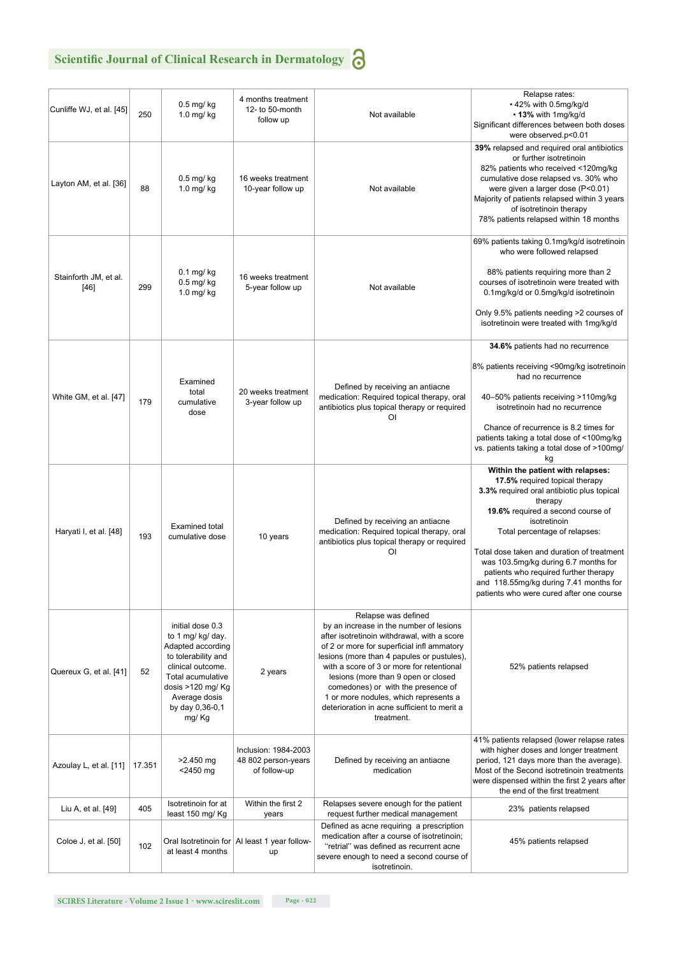## **Scientific Journal of Clinical Research in Dermatology**

| . .<br>٧ |
|----------|
|          |
| $\sim$   |
|          |

| Cunliffe WJ, et al. [45]      | 250    | $0.5$ mg/ $kg$<br>$1.0$ mg/ $kg$                                                                                                                                                              | 4 months treatment<br>12- to 50-month<br>follow up          | Not available                                                                                                                                                                                                                                                                                                                                                                                                                             | Relapse rates:<br>. 42% with 0.5mg/kg/d<br>• 13% with 1mg/kg/d<br>Significant differences between both doses<br>were observed.p<0.01                                                                                                                                                                                                                                                                                                    |
|-------------------------------|--------|-----------------------------------------------------------------------------------------------------------------------------------------------------------------------------------------------|-------------------------------------------------------------|-------------------------------------------------------------------------------------------------------------------------------------------------------------------------------------------------------------------------------------------------------------------------------------------------------------------------------------------------------------------------------------------------------------------------------------------|-----------------------------------------------------------------------------------------------------------------------------------------------------------------------------------------------------------------------------------------------------------------------------------------------------------------------------------------------------------------------------------------------------------------------------------------|
| Layton AM, et al. [36]        | 88     | $0.5$ mg/kg<br>$1.0$ mg/kg                                                                                                                                                                    | 16 weeks treatment<br>10-year follow up                     | Not available                                                                                                                                                                                                                                                                                                                                                                                                                             | 39% relapsed and required oral antibiotics<br>or further isotretinoin<br>82% patients who received <120mg/kg<br>cumulative dose relapsed vs. 30% who<br>were given a larger dose (P<0.01)<br>Majority of patients relapsed within 3 years<br>of isotretinoin therapy<br>78% patients relapsed within 18 months                                                                                                                          |
| Stainforth JM, et al.<br>[46] | 299    | $0.1$ mg/ $kg$<br>0.5 mg/ kg<br>$1.0$ mg/kg                                                                                                                                                   | 16 weeks treatment<br>5-year follow up                      | Not available                                                                                                                                                                                                                                                                                                                                                                                                                             | 69% patients taking 0.1mg/kg/d isotretinoin<br>who were followed relapsed<br>88% patients requiring more than 2<br>courses of isotretinoin were treated with<br>0.1mg/kg/d or 0.5mg/kg/d isotretinoin<br>Only 9.5% patients needing >2 courses of<br>isotretinoin were treated with 1mg/kg/d                                                                                                                                            |
|                               |        |                                                                                                                                                                                               |                                                             |                                                                                                                                                                                                                                                                                                                                                                                                                                           | 34.6% patients had no recurrence                                                                                                                                                                                                                                                                                                                                                                                                        |
|                               |        |                                                                                                                                                                                               |                                                             |                                                                                                                                                                                                                                                                                                                                                                                                                                           | 8% patients receiving <90mg/kg isotretinoin<br>had no recurrence                                                                                                                                                                                                                                                                                                                                                                        |
| White GM, et al. [47]         | 179    | Examined<br>total<br>cumulative<br>dose                                                                                                                                                       | 20 weeks treatment<br>3-year follow up                      | Defined by receiving an antiacne<br>medication: Required topical therapy, oral<br>antibiotics plus topical therapy or required<br>ΟI                                                                                                                                                                                                                                                                                                      | 40-50% patients receiving >110mg/kg<br>isotretinoin had no recurrence                                                                                                                                                                                                                                                                                                                                                                   |
|                               |        |                                                                                                                                                                                               |                                                             |                                                                                                                                                                                                                                                                                                                                                                                                                                           | Chance of recurrence is 8.2 times for<br>patients taking a total dose of <100mg/kg<br>vs. patients taking a total dose of >100mg/<br>kg                                                                                                                                                                                                                                                                                                 |
| Haryati I, et al. [48]        | 193    | <b>Examined total</b><br>cumulative dose                                                                                                                                                      | 10 years                                                    | Defined by receiving an antiacne<br>medication: Required topical therapy, oral<br>antibiotics plus topical therapy or required<br>ΟI                                                                                                                                                                                                                                                                                                      | Within the patient with relapses:<br>17.5% required topical therapy<br>3.3% required oral antibiotic plus topical<br>therapy<br>19.6% required a second course of<br>isotretinoin<br>Total percentage of relapses:<br>Total dose taken and duration of treatment<br>was 103.5mg/kg during 6.7 months for<br>patients who required further therapy<br>and 118.55mg/kg during 7.41 months for<br>patients who were cured after one course |
| Quereux G, et al. [41]        | 52     | initial dose 0.3<br>to 1 mg/ kg/ day.<br>Adapted according<br>to tolerability and<br>clinical outcome.<br>Total acumulative<br>dosis >120 mg/ Kg<br>Average dosis<br>by day 0,36-0,1<br>mg/Kg | 2 years                                                     | Relapse was defined<br>by an increase in the number of lesions<br>after isotretinoin withdrawal, with a score<br>of 2 or more for superficial infl ammatory<br>lesions (more than 4 papules or pustules),<br>with a score of 3 or more for retentional<br>lesions (more than 9 open or closed<br>comedones) or with the presence of<br>1 or more nodules, which represents a<br>deterioration in acne sufficient to merit a<br>treatment. | 52% patients relapsed                                                                                                                                                                                                                                                                                                                                                                                                                   |
| Azoulay L, et al. [11]        | 17.351 | $>2.450$ mg<br>$<$ 2450 $mg$                                                                                                                                                                  | Inclusion: 1984-2003<br>48 802 person-years<br>of follow-up | Defined by receiving an antiacne<br>medication                                                                                                                                                                                                                                                                                                                                                                                            | 41% patients relapsed (lower relapse rates<br>with higher doses and longer treatment<br>period, 121 days more than the average).<br>Most of the Second isotretinoin treatments<br>were dispensed within the first 2 years after<br>the end of the first treatment                                                                                                                                                                       |
| Liu A, et al. [49]            | 405    | Isotretinoin for at<br>least 150 mg/ Kg                                                                                                                                                       | Within the first 2<br>years                                 | Relapses severe enough for the patient<br>request further medical management                                                                                                                                                                                                                                                                                                                                                              | 23% patients relapsed                                                                                                                                                                                                                                                                                                                                                                                                                   |
| Coloe J, et al. [50]          | 102    | at least 4 months                                                                                                                                                                             | Oral Isotretinoin for AI least 1 year follow-<br>up         | Defined as acne requiring a prescription<br>medication after a course of isotretinoin;<br>"retrial" was defined as recurrent acne<br>severe enough to need a second course of<br>isotretinoin.                                                                                                                                                                                                                                            | 45% patients relapsed                                                                                                                                                                                                                                                                                                                                                                                                                   |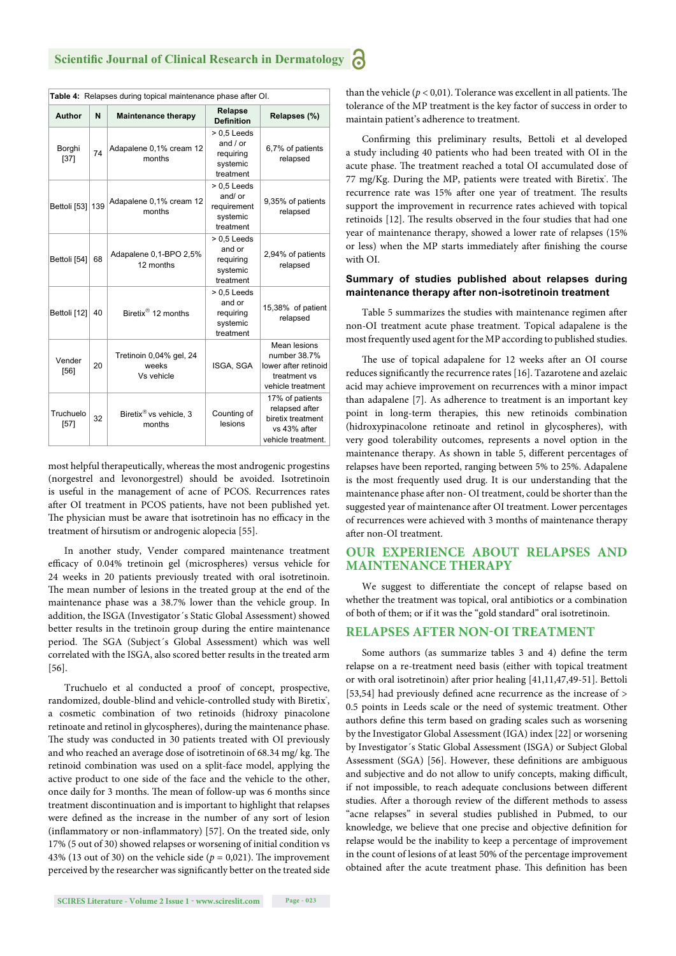| Table 4: Relapses during topical maintenance phase after OI. |     |                                                |                                                                   |                                                                                              |  |  |
|--------------------------------------------------------------|-----|------------------------------------------------|-------------------------------------------------------------------|----------------------------------------------------------------------------------------------|--|--|
| Author                                                       | N   | <b>Maintenance therapy</b>                     | Relapse<br><b>Definition</b>                                      | Relapses (%)                                                                                 |  |  |
| Borghi<br>$[37]$                                             | 74  | Adapalene 0,1% cream 12<br>months              | $> 0.5$ Leeds<br>and $/$ or<br>requiring<br>systemic<br>treatment | 6,7% of patients<br>relapsed                                                                 |  |  |
| Bettoli [53]                                                 | 139 | Adapalene 0,1% cream 12<br>months              | $> 0.5$ Leeds<br>and/ or<br>requirement<br>systemic<br>treatment  | 9,35% of patients<br>relapsed                                                                |  |  |
| Bettoli [54]                                                 | 68  | Adapalene 0,1-BPO 2,5%<br>12 months            | $> 0.5$ Leeds<br>and or<br>requiring<br>systemic<br>treatment     | 2,94% of patients<br>relapsed                                                                |  |  |
| Bettoli [12]                                                 | 40  | Biretix <sup>®</sup> 12 months                 | $> 0.5$ Leeds<br>and or<br>requiring<br>systemic<br>treatment     | 15,38% of patient<br>relapsed                                                                |  |  |
| Vender<br>[56]                                               | 20  | Tretinoin 0,04% gel, 24<br>weeks<br>Vs vehicle | ISGA, SGA                                                         | Mean lesions<br>number 38.7%<br>lower after retinoid<br>treatment vs<br>vehicle treatment    |  |  |
| Truchuelo<br>[57]                                            | 32  | Biretix <sup>®</sup> vs vehicle, 3<br>months   | Counting of<br>lesions                                            | 17% of patients<br>relapsed after<br>biretix treatment<br>vs 43% after<br>vehicle treatment. |  |  |

most helpful therapeutically, whereas the most androgenic progestins (norgestrel and levonorgestrel) should be avoided. Isotretinoin is useful in the management of acne of PCOS. Recurrences rates after OI treatment in PCOS patients, have not been published yet. The physician must be aware that isotretinoin has no efficacy in the treatment of hirsutism or androgenic alopecia [55].

In another study, Vender compared maintenance treatment efficacy of 0.04% tretinoin gel (microspheres) versus vehicle for 24 weeks in 20 patients previously treated with oral isotretinoin. The mean number of lesions in the treated group at the end of the maintenance phase was a 38.7% lower than the vehicle group. In addition, the ISGA (Investigator´s Static Global Assessment) showed better results in the tretinoin group during the entire maintenance period. The SGA (Subject's Global Assessment) which was well correlated with the ISGA, also scored better results in the treated arm [56].

Truchuelo et al conducted a proof of concept, prospective, randomized, double-blind and vehicle-controlled study with Biretix', a cosmetic combination of two retinoids (hidroxy pinacolone retinoate and retinol in glycospheres), during the maintenance phase. The study was conducted in 30 patients treated with OI previously and who reached an average dose of isotretinoin of 68.34 mg/ kg. The retinoid combination was used on a split-face model, applying the active product to one side of the face and the vehicle to the other, once daily for 3 months. The mean of follow-up was 6 months since treatment discontinuation and is important to highlight that relapses were defined as the increase in the number of any sort of lesion (inflammatory or non-inflammatory)  $[57]$ . On the treated side, only 17% (5 out of 30) showed relapses or worsening of initial condition vs 43% (13 out of 30) on the vehicle side ( $p = 0.021$ ). The improvement perceived by the researcher was significantly better on the treated side

than the vehicle  $(p < 0.01)$ . Tolerance was excellent in all patients. The tolerance of the MP treatment is the key factor of success in order to maintain patient's adherence to treatment.

Confirming this preliminary results, Bettoli et al developed a study including 40 patients who had been treated with OI in the acute phase. The treatment reached a total OI accumulated dose of 77 mg/Kg. During the MP, patients were treated with Biretix'. The recurrence rate was 15% after one year of treatment. The results support the improvement in recurrence rates achieved with topical retinoids [12]. The results observed in the four studies that had one year of maintenance therapy, showed a lower rate of relapses (15% or less) when the MP starts immediately after finishing the course with OI.

#### **Summary of studies published about relapses during maintenance therapy after non-isotretinoin treatment**

Table 5 summarizes the studies with maintenance regimen after non-OI treatment acute phase treatment. Topical adapalene is the most frequently used agent for the MP according to published studies.

The use of topical adapalene for 12 weeks after an OI course reduces significantly the recurrence rates [16]. Tazarotene and azelaic acid may achieve improvement on recurrences with a minor impact than adapalene [7]. As adherence to treatment is an important key point in long-term therapies, this new retinoids combination (hidroxypinacolone retinoate and retinol in glycospheres), with very good tolerability outcomes, represents a novel option in the maintenance therapy. As shown in table 5, different percentages of relapses have been reported, ranging between 5% to 25%. Adapalene is the most frequently used drug. It is our understanding that the maintenance phase after non- OI treatment, could be shorter than the suggested year of maintenance after OI treatment. Lower percentages of recurrences were achieved with 3 months of maintenance therapy after non-OI treatment.

#### **OUR EXPERIENCE ABOUT RELAPSES AND MAINTENANCE THERAPY**

We suggest to differentiate the concept of relapse based on whether the treatment was topical, oral antibiotics or a combination of both of them; or if it was the "gold standard" oral isotretinoin.

#### **RELAPSES AFTER NON-OI TREATMENT**

Some authors (as summarize tables 3 and 4) define the term relapse on a re-treatment need basis (either with topical treatment or with oral isotretinoin) after prior healing [41,11,47,49-51]. Bettoli [53,54] had previously defined acne recurrence as the increase of  $>$ 0.5 points in Leeds scale or the need of systemic treatment. Other authors define this term based on grading scales such as worsening by the Investigator Global Assessment (IGA) index [22] or worsening by Investigator´s Static Global Assessment (ISGA) or Subject Global Assessment (SGA) [56]. However, these definitions are ambiguous and subjective and do not allow to unify concepts, making difficult, if not impossible, to reach adequate conclusions between different studies. After a thorough review of the different methods to assess "acne relapses" in several studies published in Pubmed, to our knowledge, we believe that one precise and objective definition for relapse would be the inability to keep a percentage of improvement in the count of lesions of at least 50% of the percentage improvement obtained after the acute treatment phase. This definition has been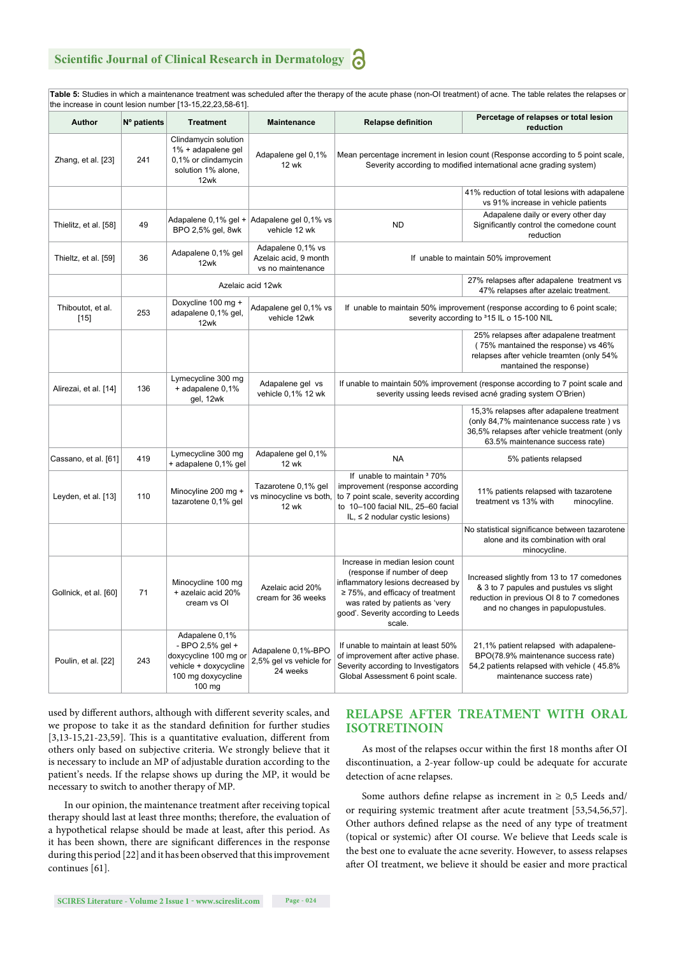### **Scientific Journal of Clinical Research in Dermatology**

**Table 5:** Studies in which a maintenance treatment was scheduled after the therapy of the acute phase (non-OI treatment) of acne. The table relates the relapses or the increase in count lesion number [13-15,22,23,58-61].

| Author                      | Nº patients | <b>Treatment</b>                                                                                                     | <b>Maintenance</b>                                              | <b>Relapse definition</b>                                                                                                                                                                                                      | Percetage of relapses or total lesion<br>reduction                                                                                                                      |
|-----------------------------|-------------|----------------------------------------------------------------------------------------------------------------------|-----------------------------------------------------------------|--------------------------------------------------------------------------------------------------------------------------------------------------------------------------------------------------------------------------------|-------------------------------------------------------------------------------------------------------------------------------------------------------------------------|
| Zhang, et al. [23]          | 241         | Clindamycin solution<br>1% + adapalene gel<br>0,1% or clindamycin<br>solution 1% alone,<br>12wk                      | Adapalene gel 0,1%<br><b>12 wk</b>                              | Mean percentage increment in lesion count (Response according to 5 point scale,<br>Severity according to modified international acne grading system)                                                                           |                                                                                                                                                                         |
|                             |             |                                                                                                                      |                                                                 |                                                                                                                                                                                                                                | 41% reduction of total lesions with adapalene<br>vs 91% increase in vehicle patients                                                                                    |
| Thielitz, et al. [58]       | 49          | Adapalene 0,1% gel +<br>BPO 2,5% gel, 8wk                                                                            | Adapalene gel 0,1% vs<br>vehicle 12 wk                          | <b>ND</b>                                                                                                                                                                                                                      | Adapalene daily or every other day<br>Significantly control the comedone count<br>reduction                                                                             |
| Thieltz, et al. [59]        | 36          | Adapalene 0,1% gel<br>12wk                                                                                           | Adapalene 0,1% vs<br>Azelaic acid, 9 month<br>vs no maintenance | If unable to maintain 50% improvement                                                                                                                                                                                          |                                                                                                                                                                         |
|                             |             |                                                                                                                      | Azelaic acid 12wk                                               |                                                                                                                                                                                                                                | 27% relapses after adapalene treatment vs<br>47% relapses after azelaic treatment.                                                                                      |
| Thiboutot, et al.<br>$[15]$ | 253         | Doxycline 100 mg +<br>adapalene 0,1% gel,<br>12wk                                                                    | Adapalene gel 0,1% vs<br>vehicle 12wk                           |                                                                                                                                                                                                                                | If unable to maintain 50% improvement (response according to 6 point scale;<br>severity according to 315 IL o 15-100 NIL                                                |
|                             |             |                                                                                                                      |                                                                 |                                                                                                                                                                                                                                | 25% relapses after adapalene treatment<br>(75% mantained the response) vs 46%<br>relapses after vehicle treamten (only 54%<br>mantained the response)                   |
| Alirezai, et al. [14]       | 136         | Lymecycline 300 mg<br>+ adapalene 0,1%<br>gel, 12wk                                                                  | Adapalene gel vs<br>vehicle 0,1% 12 wk                          | If unable to maintain 50% improvement (response according to 7 point scale and<br>severity ussing leeds revised acné grading system O'Brien)                                                                                   |                                                                                                                                                                         |
|                             |             |                                                                                                                      |                                                                 |                                                                                                                                                                                                                                | 15,3% relapses after adapalene treatment<br>(only 84,7% maintenance success rate) vs<br>36,5% relapses after vehicle treatment (only<br>63.5% maintenance success rate) |
| Cassano, et al. [61]        | 419         | Lymecycline 300 mg<br>+ adapalene 0,1% gel                                                                           | Adapalene gel 0,1%<br><b>12 wk</b>                              | <b>NA</b>                                                                                                                                                                                                                      | 5% patients relapsed                                                                                                                                                    |
| Leyden, et al. [13]         | 110         | Minocyline 200 mg +<br>tazarotene 0,1% gel                                                                           | Tazarotene 0,1% gel<br>vs minocycline vs both,<br><b>12 wk</b>  | If unable to maintain 370%<br>improvement (response according<br>to 7 point scale, severity according<br>to 10-100 facial NIL, 25-60 facial<br>IL, $\leq$ 2 nodular cystic lesions)                                            | 11% patients relapsed with tazarotene<br>treatment vs 13% with<br>minocyline.                                                                                           |
|                             |             |                                                                                                                      |                                                                 |                                                                                                                                                                                                                                | No statistical significance between tazarotene<br>alone and its combination with oral<br>minocycline.                                                                   |
| Gollnick, et al. [60]       | 71          | Minocycline 100 mg<br>+ azelaic acid 20%<br>cream vs OI                                                              | Azelaic acid 20%<br>cream for 36 weeks                          | Increase in median lesion count<br>(response if number of deep<br>inflammatory lesions decreased by<br>$\geq$ 75%, and efficacy of treatment<br>was rated by patients as 'very<br>good'. Severity according to Leeds<br>scale. | Increased slightly from 13 to 17 comedones<br>& 3 to 7 papules and pustules vs slight<br>reduction in previous OI 8 to 7 comedones<br>and no changes in papulopustules. |
| Poulin, et al. [22]         | 243         | Adapalene 0,1%<br>- BPO 2,5% gel +<br>doxycycline 100 mg or<br>vehicle + doxycycline<br>100 mg doxycycline<br>100 mg | Adapalene 0,1%-BPO<br>2,5% gel vs vehicle for<br>24 weeks       | If unable to maintain at least 50%<br>of improvement after active phase.<br>Severity according to Investigators<br>Global Assessment 6 point scale.                                                                            | 21,1% patient relapsed with adapalene-<br>BPO(78.9% maintenance success rate)<br>54,2 patients relapsed with vehicle (45.8%<br>maintenance success rate)                |

used by different authors, although with different severity scales, and we propose to take it as the standard definition for further studies [3,13-15,21-23,59]. This is a quantitative evaluation, different from others only based on subjective criteria. We strongly believe that it is necessary to include an MP of adjustable duration according to the patient's needs. If the relapse shows up during the MP, it would be necessary to switch to another therapy of MP.

In our opinion, the maintenance treatment after receiving topical therapy should last at least three months; therefore, the evaluation of a hypothetical relapse should be made at least, after this period. As it has been shown, there are significant differences in the response during this period [22] and it has been observed that this improvement continues [61].

#### **RELAPSE AFTER TREATMENT WITH ORAL ISOTRETINOIN**

As most of the relapses occur within the first 18 months after OI discontinuation, a 2-year follow-up could be adequate for accurate detection of acne relapses.

Some authors define relapse as increment in  $\geq 0.5$  Leeds and/ or requiring systemic treatment after acute treatment [53,54,56,57]. Other authors defined relapse as the need of any type of treatment (topical or systemic) after OI course. We believe that Leeds scale is the best one to evaluate the acne severity. However, to assess relapses after OI treatment, we believe it should be easier and more practical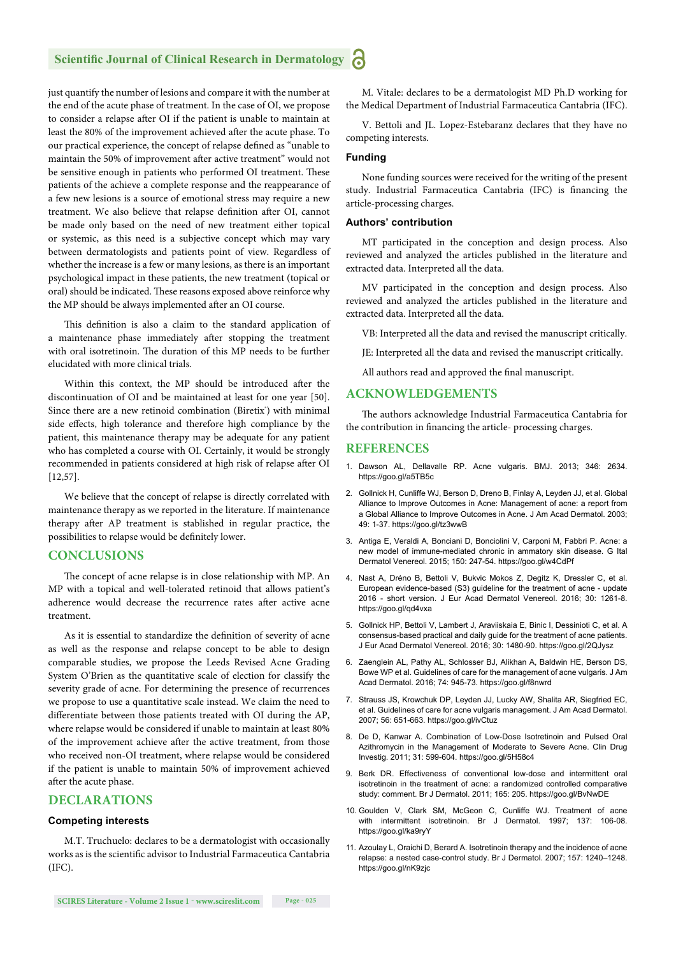#### **Scientific Journal of Clinical Research in Dermatology**

just quantify the number of lesions and compare it with the number at the end of the acute phase of treatment. In the case of OI, we propose to consider a relapse after OI if the patient is unable to maintain at least the 80% of the improvement achieved after the acute phase. To our practical experience, the concept of relapse defined as "unable to maintain the 50% of improvement after active treatment" would not be sensitive enough in patients who performed OI treatment. These patients of the achieve a complete response and the reappearance of a few new lesions is a source of emotional stress may require a new treatment. We also believe that relapse definition after OI, cannot be made only based on the need of new treatment either topical or systemic, as this need is a subjective concept which may vary between dermatologists and patients point of view. Regardless of whether the increase is a few or many lesions, as there is an important psychological impact in these patients, the new treatment (topical or oral) should be indicated. These reasons exposed above reinforce why the MP should be always implemented after an OI course.

This definition is also a claim to the standard application of a maintenance phase immediately after stopping the treatment with oral isotretinoin. The duration of this MP needs to be further elucidated with more clinical trials.

Within this context, the MP should be introduced after the discontinuation of OI and be maintained at least for one year [50]. Since there are a new retinoid combination (Biretix') with minimal side effects, high tolerance and therefore high compliance by the patient, this maintenance therapy may be adequate for any patient who has completed a course with OI. Certainly, it would be strongly recommended in patients considered at high risk of relapse after OI [12,57].

We believe that the concept of relapse is directly correlated with maintenance therapy as we reported in the literature. If maintenance therapy after AP treatment is stablished in regular practice, the possibilities to relapse would be definitely lower.

#### **CONCLUSIONS**

The concept of acne relapse is in close relationship with MP. An MP with a topical and well-tolerated retinoid that allows patient's adherence would decrease the recurrence rates after active acne treatment.

As it is essential to standardize the definition of severity of acne as well as the response and relapse concept to be able to design comparable studies, we propose the Leeds Revised Acne Grading System O'Brien as the quantitative scale of election for classify the severity grade of acne. For determining the presence of recurrences we propose to use a quantitative scale instead. We claim the need to differentiate between those patients treated with OI during the AP, where relapse would be considered if unable to maintain at least 80% of the improvement achieve after the active treatment, from those who received non-OI treatment, where relapse would be considered if the patient is unable to maintain 50% of improvement achieved after the acute phase.

#### **DECLARATIONS**

#### **Competing interests**

M.T. Truchuelo: declares to be a dermatologist with occasionally works as is the scientific advisor to Industrial Farmaceutica Cantabria (IFC).

M. Vitale: declares to be a dermatologist MD Ph.D working for the Medical Department of Industrial Farmaceutica Cantabria (IFC).

V. Bettoli and JL. Lopez-Estebaranz declares that they have no competing interests.

#### **Funding**

None funding sources were received for the writing of the present study. Industrial Farmaceutica Cantabria (IFC) is financing the article-processing charges.

#### **Authors' contribution**

MT participated in the conception and design process. Also reviewed and analyzed the articles published in the literature and extracted data. Interpreted all the data.

MV participated in the conception and design process. Also reviewed and analyzed the articles published in the literature and extracted data. Interpreted all the data.

VB: Interpreted all the data and revised the manuscript critically.

JE: Interpreted all the data and revised the manuscript critically.

All authors read and approved the final manuscript.

#### **ACKNOWLEDGEMENTS**

The authors acknowledge Industrial Farmaceutica Cantabria for the contribution in financing the article- processing charges.

#### **REFERENCES**

- 1. Dawson AL, Dellavalle RP. Acne vulgaris. BMJ. 2013; 346: 2634. https://goo.gl/a5TB5c
- 2. Gollnick H, Cunliffe WJ, Berson D, Dreno B, Finlay A, Leyden JJ, et al. Global Alliance to Improve Outcomes in Acne: Management of acne: a report from a Global Alliance to Improve Outcomes in Acne. J Am Acad Dermatol. 2003; 49: 1-37. https://goo.gl/tz3wwB
- 3. Antiga E, Veraldi A, Bonciani D, Bonciolini V, Carponi M, Fabbri P. Acne: a new model of immune-mediated chronic in ammatory skin disease. G Ital Dermatol Venereol. 2015; 150: 247-54. https://goo.gl/w4CdPf
- 4. Nast A, Dréno B, Bettoli V, Bukvic Mokos Z, Degitz K, Dressler C, et al. European evidence-based (S3) guideline for the treatment of acne - update 2016 - short version. J Eur Acad Dermatol Venereol. 2016; 30: 1261-8. https://goo.gl/qd4vxa
- 5. Gollnick HP, Bettoli V, Lambert J, Araviiskaia E, Binic I, Dessinioti C, et al. A consensus-based practical and daily guide for the treatment of acne patients. J Eur Acad Dermatol Venereol. 2016; 30: 1480-90. https://goo.gl/2QJysz
- 6. Zaenglein AL, Pathy AL, Schlosser BJ, Alikhan A, Baldwin HE, Berson DS, Bowe WP et al. Guidelines of care for the management of acne vulgaris. J Am Acad Dermatol. 2016; 74: 945-73. https://goo.gl/f8nwrd
- 7. Strauss JS, Krowchuk DP, Leyden JJ, Lucky AW, Shalita AR, Siegfried EC, et al. Guidelines of care for acne vulgaris management. J Am Acad Dermatol. 2007; 56: 651-663. https://goo.gl/ivCtuz
- 8. De D, Kanwar A. Combination of Low-Dose Isotretinoin and Pulsed Oral Azithromycin in the Management of Moderate to Severe Acne. Clin Drug Investig. 2011; 31: 599-604. https://goo.gl/5H58c4
- 9. Berk DR. Effectiveness of conventional low-dose and intermittent oral isotretinoin in the treatment of acne: a randomized controlled comparative study: comment. Br J Dermatol. 2011; 165: 205. https://goo.gl/BvNwDE
- 10. Goulden V, Clark SM, McGeon C, Cunliffe WJ. Treatment of acne with intermittent isotretinoin. Br J Dermatol. 1997; 137: 106-08. https://goo.gl/ka9ryY
- 11. Azoulay L, Oraichi D, Berard A. Isotretinoin therapy and the incidence of acne relapse: a nested case-control study. Br J Dermatol. 2007; 157: 1240–1248. https://goo.gl/nK9zjc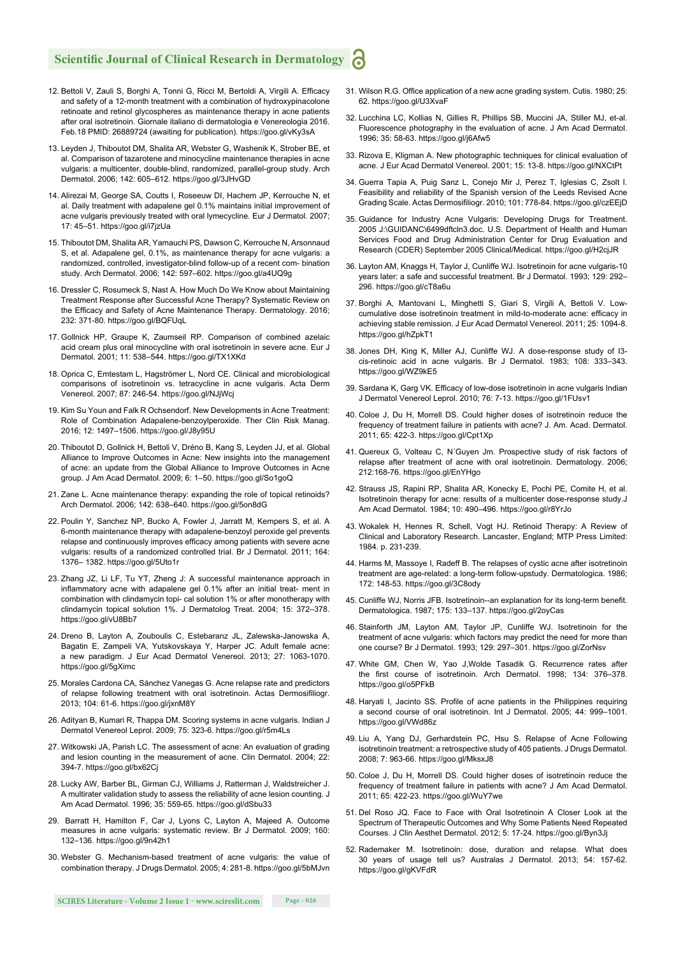#### **Scientific Journal of Clinical Research in Dermatology** a

- 12. Bettoli V, Zauli S, Borghi A, Tonni G, Ricci M, Bertoldi A, Virgili A. Efficacy and safety of a 12-month treatment with a combination of hydroxypinacolone retinoate and retinol glycospheres as maintenance therapy in acne patients after oral isotretinoin. Giornale italiano di dermatologia e Venereologia 2016. Feb.18 PMID: 26889724 (awaiting for publication). https://goo.gl/vKy3sA
- 13. Leyden J, Thiboutot DM, Shalita AR, Webster G, Washenik K, Strober BE, et al. Comparison of tazarotene and minocycline maintenance therapies in acne vulgaris: a multicenter, double-blind, randomized, parallel-group study. Arch Dermatol. 2006; 142: 605–612. https://goo.gl/3JHvGD
- 14. Alirezai M, George SA, Coutts I, Roseeuw DI, Hachem JP, Kerrouche N, et al. Daily treatment with adapalene gel 0.1% maintains initial improvement of acne vulgaris previously treated with oral lymecycline. Eur J Dermatol. 2007; 17: 45–51. https://goo.gl/i7jzUa
- 15. Thiboutot DM, Shalita AR, Yamauchi PS, Dawson C, Kerrouche N, Arsonnaud S, et al. Adapalene gel, 0.1%, as maintenance therapy for acne vulgaris: a randomized, controlled, investigator-blind follow-up of a recent com- bination study. Arch Dermatol. 2006; 142: 597–602. https://goo.gl/a4UQ9g
- 16. Dressler C, Rosumeck S, Nast A. How Much Do We Know about Maintaining Treatment Response after Successful Acne Therapy? Systematic Review on the Efficacy and Safety of Acne Maintenance Therapy. Dermatology. 2016; 232: 371-80. https://goo.gl/BQFUqL
- 17. Gollnick HP, Graupe K, Zaumseil RP. Comparison of combined azelaic acid cream plus oral minocycline with oral isotretinoin in severe acne. Eur J Dermatol. 2001; 11: 538–544. https://goo.gl/TX1XKd
- 18. Oprica C, Emtestam L, Hagströmer L, Nord CE. Clinical and microbiological comparisons of isotretinoin vs. tetracycline in acne vulgaris. Acta Derm Venereol. 2007; 87: 246-54. https://goo.gl/NJjWcj
- 19. Kim Su Youn and Falk R Ochsendorf. New Developments in Acne Treatment: Role of Combination Adapalene-benzoylperoxide. Ther Clin Risk Manag. 2016; 12: 1497–1506. https://goo.gl/J8y95U
- 20. Thiboutot D, Gollnick H, Bettoli V, Dréno B, Kang S, Leyden JJ, et al. Global Alliance to Improve Outcomes in Acne: New insights into the management of acne: an update from the Global Alliance to Improve Outcomes in Acne group. J Am Acad Dermatol. 2009; 6: 1–50. https://goo.gl/So1goQ
- 21. Zane L. Acne maintenance therapy: expanding the role of topical retinoids? Arch Dermatol. 2006; 142: 638–640. https://goo.gl/5on8dG
- 22. Poulin Y, Sanchez NP, Bucko A, Fowler J, Jarratt M, Kempers S, et al. A 6-month maintenance therapy with adapalene-benzoyl peroxide gel prevents relapse and continuously improves efficacy among patients with severe acne vulgaris: results of a randomized controlled trial. Br J Dermatol. 2011; 164: 1376– 1382. https://goo.gl/5Uto1r
- 23. Zhang JZ, Li LF, Tu YT, Zheng J: A successful maintenance approach in inflammatory acne with adapalene gel 0.1% after an initial treat- ment in combination with clindamycin topi- cal solution 1% or after monotherapy with clindamycin topical solution 1%. J Dermatolog Treat. 2004; 15: 372–378. https://goo.gl/vU8Bb7
- 24. Dreno B, Layton A, Zouboulis C, Estebaranz JL, Zalewska-Janowska A, Bagatin E, Zampeli VA, Yutskovskaya Y, Harper JC. Adult female acne: a new paradigm. J Eur Acad Dermatol Venereol. 2013; 27: 1063-1070. https://goo.gl/5gXimc
- 25. Morales Cardona CA, Sánchez Vanegas G. Acne relapse rate and predictors of relapse following treatment with oral isotretinoin. Actas Dermosifiliogr. 2013; 104: 61-6. https://goo.gl/jxnM8Y
- 26. Adityan B, Kumari R, Thappa DM. Scoring systems in acne vulgaris. Indian J Dermatol Venereol Leprol. 2009; 75: 323-6. https://goo.gl/r5m4Ls
- 27. Witkowski JA, Parish LC. The assessment of acne: An evaluation of grading and lesion counting in the measurement of acne. Clin Dermatol. 2004; 22: 394-7. https://goo.gl/bx62Cj
- 28. Lucky AW, Barber BL, Girman CJ, Williams J, Ratterman J, Waldstreicher J. A multirater validation study to assess the reliability of acne lesion counting. J Am Acad Dermatol. 1996; 35: 559-65. https://goo.gl/dSbu33
- 29. Barratt H, Hamilton F, Car J, Lyons C, Layton A, Majeed A. Outcome measures in acne vulgaris: systematic review. Br J Dermatol. 2009; 160: 132–136. https://goo.gl/9n42h1
- 30. Webster G. Mechanism-based treatment of acne vulgaris: the value of combination therapy. J Drugs Dermatol. 2005; 4: 281-8. https://goo.gl/5bMJvn
- 31. Wilson R.G. Office application of a new acne grading system. Cutis. 1980; 25: 62. https://goo.gl/U3XvaF
- 32. Lucchina LC, Kollias N, Gillies R, Phillips SB, Muccini JA, Stiller MJ, et-al. Fluorescence photography in the evaluation of acne. J Am Acad Dermatol. 1996; 35: 58-63. https://goo.gl/j6Afw5
- 33. Rizova E, Kligman A. New photographic techniques for clinical evaluation of acne. J Eur Acad Dermatol Venereol. 2001; 15: 13-8. https://goo.gl/NXCtPt
- 34. Guerra Tapia A, Puig Sanz L, Conejo Mir J, Perez T, Iglesias C, Zsolt I. Feasibility and reliability of the Spanish version of the Leeds Revised Acne Grading Scale. Actas Dermosifiliogr. 2010; 101: 778-84. https://goo.gl/czEEjD
- 35. Guidance for Industry Acne Vulgaris: Developing Drugs for Treatment. 2005 J:\GUIDANC\6499dftcln3.doc. U.S. Department of Health and Human Services Food and Drug Administration Center for Drug Evaluation and Research (CDER) September 2005 Clinical/Medical. https://goo.gl/H2cjJR
- 36. Layton AM, Knaggs H, Taylor J, Cunliffe WJ. Isotretinoin for acne vulgaris-10 years later: a safe and successful treatment. Br J Dermatol. 1993; 129: 292– 296. https://goo.gl/cT8a6u
- 37. Borghi A, Mantovani L, Minghetti S, Giari S, Virgili A, Bettoli V. Lowcumulative dose isotretinoin treatment in mild-to-moderate acne: efficacy in achieving stable remission. J Eur Acad Dermatol Venereol. 2011; 25: 1094-8. https://goo.gl/hZpkT1
- 38. Jones DH, King K, Miller AJ, Cunliffe WJ. A dose-response study of I3 cis-retinoic acid in acne vulgaris. Br J Dermatol. 1983; 108: 333–343. https://goo.gl/WZ9kE5
- 39. Sardana K, Garg VK. Efficacy of low-dose isotretinoin in acne vulgaris Indian J Dermatol Venereol Leprol. 2010; 76: 7-13. https://goo.gl/1FUsv1
- 40. Coloe J, Du H, Morrell DS. Could higher doses of isotretinoin reduce the frequency of treatment failure in patients with acne? J. Am. Acad. Dermatol. 2011; 65: 422-3. https://goo.gl/Cpt1Xp
- 41. Quereux G, Volteau C, N´Guyen Jm. Prospective study of risk factors of relapse after treatment of acne with oral isotretinoin. Dermatology. 2006; 212:168-76. https://goo.gl/EnYHgo
- 42. Strauss JS, Rapini RP, Shalita AR, Konecky E, Pochi PE, Comite H, et al. Isotretinoin therapy for acne: results of a multicenter dose-response study.J Am Acad Dermatol. 1984; 10: 490–496. https://goo.gl/r8YrJo
- 43. Wokalek H, Hennes R, Schell, Vogt HJ. Retinoid Therapy: A Review of Clinical and Laboratory Research. Lancaster, England; MTP Press Limited: 1984. p. 231-239.
- 44. Harms M, Massoye I, Radeff B. The relapses of cystic acne after isotretinoin treatment are age-related: a long-term follow-upstudy. Dermatologica. 1986; 172: 148-53. https://goo.gl/3C8ody
- 45. Cunliffe WJ, Norris JFB. Isotretinoin--an explanation for its long-term benefit. Dermatologica. 1987; 175: 133–137. https://goo.gl/2oyCas
- 46. Stainforth JM, Layton AM, Taylor JP, Cunliffe WJ. Isotretinoin for the treatment of acne vulgaris: which factors may predict the need for more than one course? Br J Dermatol. 1993; 129: 297–301. https://goo.gl/ZorNsv
- 47. White GM, Chen W, Yao J,Wolde Tasadik G. Recurrence rates after the first course of isotretinoin. Arch Dermatol. 1998; 134: 376-378. https://goo.gl/o5PFkB
- 48. Haryati I, Jacinto SS. Profile of acne patients in the Philippines requiring a second course of oral isotretinoin. Int J Dermatol. 2005; 44: 999–1001. https://goo.gl/VWd86z
- 49. Liu A, Yang DJ, Gerhardstein PC, Hsu S. Relapse of Acne Following isotretinoin treatment: a retrospective study of 405 patients. J Drugs Dermatol. 2008; 7: 963-66. https://goo.gl/MksxJ8
- 50. Coloe J, Du H, Morrell DS. Could higher doses of isotretinoin reduce the frequency of treatment failure in patients with acne? J Am Acad Dermatol. 2011; 65: 422-23. https://goo.gl/WuY7we
- 51. Del Roso JQ. Face to Face with Oral Isotretinoin A Closer Look at the Spectrum of Therapeutic Outcomes and Why Some Patients Need Repeated Courses. J Clin Aesthet Dermatol. 2012; 5: 17-24. https://goo.gl/Byn3Jj
- 52. Rademaker M. Isotretinoin: dose, duration and relapse. What does 30 years of usage tell us? Australas J Dermatol. 2013; 54: 157-62. https://goo.gl/gKVFdR